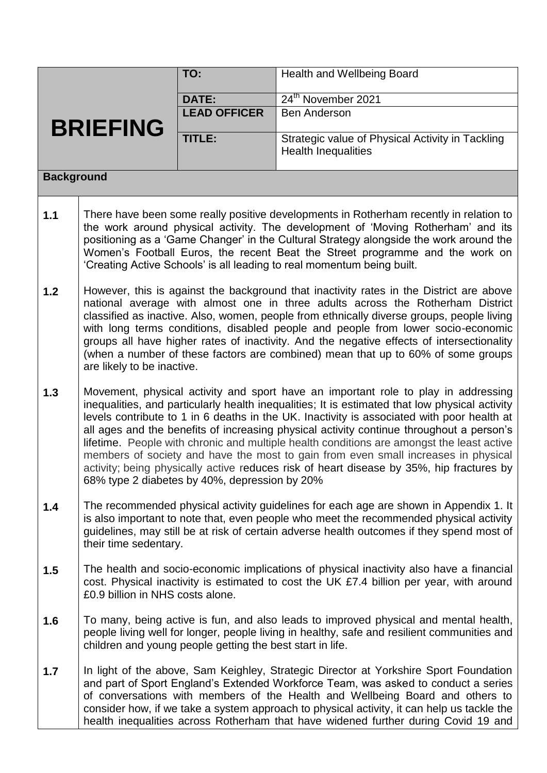|                   |                                                                                                                                                                                                                                                                                                                                                                                                                                                                                                                                                                                                                                                                                                                | TO:                 | Health and Wellbeing Board                                                     |  |  |
|-------------------|----------------------------------------------------------------------------------------------------------------------------------------------------------------------------------------------------------------------------------------------------------------------------------------------------------------------------------------------------------------------------------------------------------------------------------------------------------------------------------------------------------------------------------------------------------------------------------------------------------------------------------------------------------------------------------------------------------------|---------------------|--------------------------------------------------------------------------------|--|--|
|                   |                                                                                                                                                                                                                                                                                                                                                                                                                                                                                                                                                                                                                                                                                                                | <b>DATE:</b>        | 24 <sup>th</sup> November 2021                                                 |  |  |
| <b>BRIEFING</b>   |                                                                                                                                                                                                                                                                                                                                                                                                                                                                                                                                                                                                                                                                                                                | <b>LEAD OFFICER</b> | <b>Ben Anderson</b>                                                            |  |  |
|                   |                                                                                                                                                                                                                                                                                                                                                                                                                                                                                                                                                                                                                                                                                                                | TITLE:              | Strategic value of Physical Activity in Tackling<br><b>Health Inequalities</b> |  |  |
| <b>Background</b> |                                                                                                                                                                                                                                                                                                                                                                                                                                                                                                                                                                                                                                                                                                                |                     |                                                                                |  |  |
| 1.1               | There have been some really positive developments in Rotherham recently in relation to<br>the work around physical activity. The development of 'Moving Rotherham' and its<br>positioning as a 'Game Changer' in the Cultural Strategy alongside the work around the<br>Women's Football Euros, the recent Beat the Street programme and the work on<br>'Creating Active Schools' is all leading to real momentum being built.                                                                                                                                                                                                                                                                                 |                     |                                                                                |  |  |
| 1.2               | However, this is against the background that inactivity rates in the District are above<br>national average with almost one in three adults across the Rotherham District<br>classified as inactive. Also, women, people from ethnically diverse groups, people living<br>with long terms conditions, disabled people and people from lower socio-economic<br>groups all have higher rates of inactivity. And the negative effects of intersectionality<br>(when a number of these factors are combined) mean that up to 60% of some groups<br>are likely to be inactive.                                                                                                                                      |                     |                                                                                |  |  |
| 1.3               | Movement, physical activity and sport have an important role to play in addressing<br>inequalities, and particularly health inequalities; It is estimated that low physical activity<br>levels contribute to 1 in 6 deaths in the UK. Inactivity is associated with poor health at<br>all ages and the benefits of increasing physical activity continue throughout a person's<br>lifetime. People with chronic and multiple health conditions are amongst the least active<br>members of society and have the most to gain from even small increases in physical<br>activity; being physically active reduces risk of heart disease by 35%, hip fractures by<br>68% type 2 diabetes by 40%, depression by 20% |                     |                                                                                |  |  |
| 1.4               | The recommended physical activity guidelines for each age are shown in Appendix 1. It<br>is also important to note that, even people who meet the recommended physical activity<br>guidelines, may still be at risk of certain adverse health outcomes if they spend most of<br>their time sedentary.                                                                                                                                                                                                                                                                                                                                                                                                          |                     |                                                                                |  |  |
| 1.5               | The health and socio-economic implications of physical inactivity also have a financial<br>cost. Physical inactivity is estimated to cost the UK £7.4 billion per year, with around<br>£0.9 billion in NHS costs alone.                                                                                                                                                                                                                                                                                                                                                                                                                                                                                        |                     |                                                                                |  |  |
| 1.6               | To many, being active is fun, and also leads to improved physical and mental health,<br>people living well for longer, people living in healthy, safe and resilient communities and<br>children and young people getting the best start in life.                                                                                                                                                                                                                                                                                                                                                                                                                                                               |                     |                                                                                |  |  |
| 1.7               | In light of the above, Sam Keighley, Strategic Director at Yorkshire Sport Foundation<br>and part of Sport England's Extended Workforce Team, was asked to conduct a series<br>of conversations with members of the Health and Wellbeing Board and others to<br>consider how, if we take a system approach to physical activity, it can help us tackle the<br>health inequalities across Rotherham that have widened further during Covid 19 and                                                                                                                                                                                                                                                               |                     |                                                                                |  |  |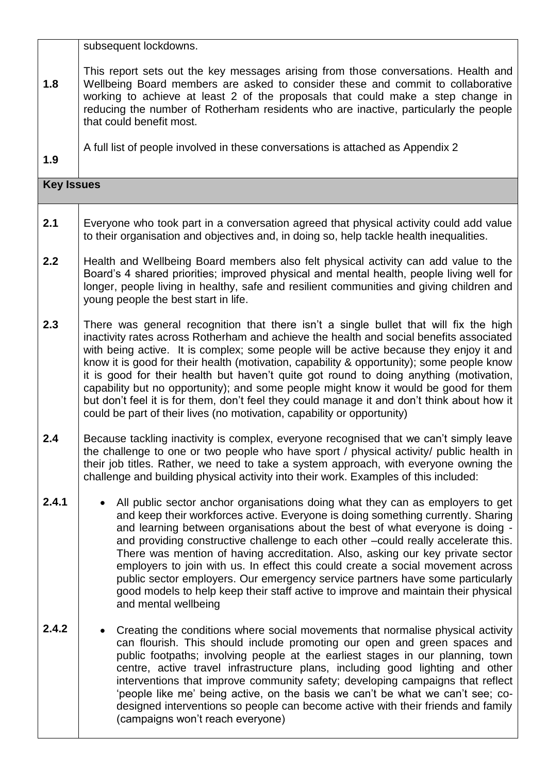|                   | subsequent lockdowns.                                                                                                                                                                                                                                                                                                                                                                                                                                                                                                                                                                                                                                                                                                               |  |  |
|-------------------|-------------------------------------------------------------------------------------------------------------------------------------------------------------------------------------------------------------------------------------------------------------------------------------------------------------------------------------------------------------------------------------------------------------------------------------------------------------------------------------------------------------------------------------------------------------------------------------------------------------------------------------------------------------------------------------------------------------------------------------|--|--|
| 1.8               | This report sets out the key messages arising from those conversations. Health and<br>Wellbeing Board members are asked to consider these and commit to collaborative<br>working to achieve at least 2 of the proposals that could make a step change in<br>reducing the number of Rotherham residents who are inactive, particularly the people<br>that could benefit most.                                                                                                                                                                                                                                                                                                                                                        |  |  |
| 1.9               | A full list of people involved in these conversations is attached as Appendix 2                                                                                                                                                                                                                                                                                                                                                                                                                                                                                                                                                                                                                                                     |  |  |
| <b>Key Issues</b> |                                                                                                                                                                                                                                                                                                                                                                                                                                                                                                                                                                                                                                                                                                                                     |  |  |
| 2.1               | Everyone who took part in a conversation agreed that physical activity could add value<br>to their organisation and objectives and, in doing so, help tackle health inequalities.                                                                                                                                                                                                                                                                                                                                                                                                                                                                                                                                                   |  |  |
| 2.2               | Health and Wellbeing Board members also felt physical activity can add value to the<br>Board's 4 shared priorities; improved physical and mental health, people living well for<br>longer, people living in healthy, safe and resilient communities and giving children and<br>young people the best start in life.                                                                                                                                                                                                                                                                                                                                                                                                                 |  |  |
| 2.3               | There was general recognition that there isn't a single bullet that will fix the high<br>inactivity rates across Rotherham and achieve the health and social benefits associated<br>with being active. It is complex; some people will be active because they enjoy it and<br>know it is good for their health (motivation, capability & opportunity); some people know<br>it is good for their health but haven't quite got round to doing anything (motivation,<br>capability but no opportunity); and some people might know it would be good for them<br>but don't feel it is for them, don't feel they could manage it and don't think about how it<br>could be part of their lives (no motivation, capability or opportunity) |  |  |
| 2.4               | Because tackling inactivity is complex, everyone recognised that we can't simply leave<br>the challenge to one or two people who have sport / physical activity/ public health in<br>their job titles. Rather, we need to take a system approach, with everyone owning the<br>challenge and building physical activity into their work. Examples of this included:                                                                                                                                                                                                                                                                                                                                                                  |  |  |
| 2.4.1             | All public sector anchor organisations doing what they can as employers to get<br>and keep their workforces active. Everyone is doing something currently. Sharing<br>and learning between organisations about the best of what everyone is doing -<br>and providing constructive challenge to each other -could really accelerate this.<br>There was mention of having accreditation. Also, asking our key private sector<br>employers to join with us. In effect this could create a social movement across<br>public sector employers. Our emergency service partners have some particularly<br>good models to help keep their staff active to improve and maintain their physical<br>and mental wellbeing                       |  |  |
| 2.4.2             | Creating the conditions where social movements that normalise physical activity<br>can flourish. This should include promoting our open and green spaces and<br>public footpaths; involving people at the earliest stages in our planning, town<br>centre, active travel infrastructure plans, including good lighting and other<br>interventions that improve community safety; developing campaigns that reflect<br>'people like me' being active, on the basis we can't be what we can't see; co-<br>designed interventions so people can become active with their friends and family<br>(campaigns won't reach everyone)                                                                                                        |  |  |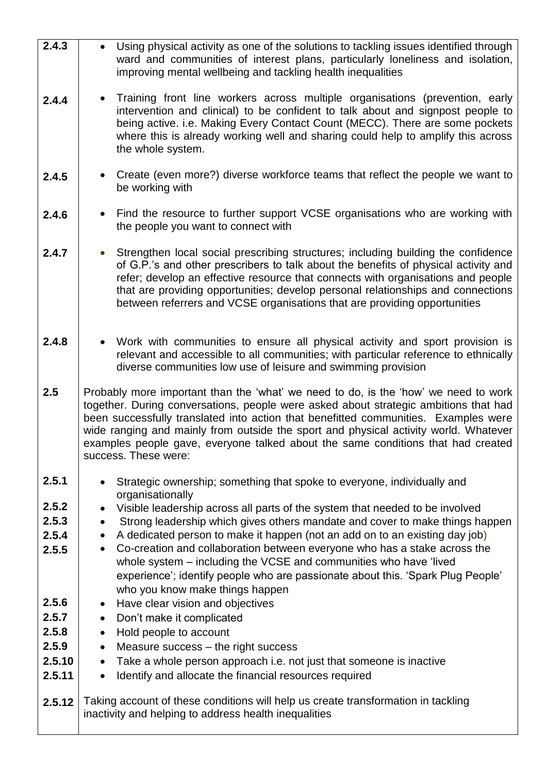| $\overline{2.4.3}$ |                                                                                                                                                                                                                                                                                                                                                                                                                                                                        | Using physical activity as one of the solutions to tackling issues identified through<br>ward and communities of interest plans, particularly loneliness and isolation,<br>improving mental wellbeing and tackling health inequalities                                                                                                                                                                                        |  |
|--------------------|------------------------------------------------------------------------------------------------------------------------------------------------------------------------------------------------------------------------------------------------------------------------------------------------------------------------------------------------------------------------------------------------------------------------------------------------------------------------|-------------------------------------------------------------------------------------------------------------------------------------------------------------------------------------------------------------------------------------------------------------------------------------------------------------------------------------------------------------------------------------------------------------------------------|--|
| 2.4.4              |                                                                                                                                                                                                                                                                                                                                                                                                                                                                        | Training front line workers across multiple organisations (prevention, early<br>intervention and clinical) to be confident to talk about and signpost people to<br>being active. i.e. Making Every Contact Count (MECC). There are some pockets<br>where this is already working well and sharing could help to amplify this across<br>the whole system.                                                                      |  |
| 2.4.5              |                                                                                                                                                                                                                                                                                                                                                                                                                                                                        | Create (even more?) diverse workforce teams that reflect the people we want to<br>be working with                                                                                                                                                                                                                                                                                                                             |  |
| 2.4.6              |                                                                                                                                                                                                                                                                                                                                                                                                                                                                        | Find the resource to further support VCSE organisations who are working with<br>the people you want to connect with                                                                                                                                                                                                                                                                                                           |  |
| 2.4.7              |                                                                                                                                                                                                                                                                                                                                                                                                                                                                        | Strengthen local social prescribing structures; including building the confidence<br>of G.P.'s and other prescribers to talk about the benefits of physical activity and<br>refer; develop an effective resource that connects with organisations and people<br>that are providing opportunities; develop personal relationships and connections<br>between referrers and VCSE organisations that are providing opportunities |  |
| 2.4.8              |                                                                                                                                                                                                                                                                                                                                                                                                                                                                        | Work with communities to ensure all physical activity and sport provision is<br>relevant and accessible to all communities; with particular reference to ethnically<br>diverse communities low use of leisure and swimming provision                                                                                                                                                                                          |  |
| 2.5                | Probably more important than the 'what' we need to do, is the 'how' we need to work<br>together. During conversations, people were asked about strategic ambitions that had<br>been successfully translated into action that benefitted communities. Examples were<br>wide ranging and mainly from outside the sport and physical activity world. Whatever<br>examples people gave, everyone talked about the same conditions that had created<br>success. These were: |                                                                                                                                                                                                                                                                                                                                                                                                                               |  |
|                    |                                                                                                                                                                                                                                                                                                                                                                                                                                                                        |                                                                                                                                                                                                                                                                                                                                                                                                                               |  |
| 2.5.1              |                                                                                                                                                                                                                                                                                                                                                                                                                                                                        | Strategic ownership; something that spoke to everyone, individually and                                                                                                                                                                                                                                                                                                                                                       |  |
| 2.5.2              |                                                                                                                                                                                                                                                                                                                                                                                                                                                                        | organisationally<br>Visible leadership across all parts of the system that needed to be involved                                                                                                                                                                                                                                                                                                                              |  |
| 2.5.3              | $\bullet$                                                                                                                                                                                                                                                                                                                                                                                                                                                              | Strong leadership which gives others mandate and cover to make things happen                                                                                                                                                                                                                                                                                                                                                  |  |
| 2.5.4<br>2.5.5     | $\bullet$<br>$\bullet$                                                                                                                                                                                                                                                                                                                                                                                                                                                 | A dedicated person to make it happen (not an add on to an existing day job)<br>Co-creation and collaboration between everyone who has a stake across the<br>whole system - including the VCSE and communities who have 'lived<br>experience'; identify people who are passionate about this. 'Spark Plug People'<br>who you know make things happen                                                                           |  |
| 2.5.6              | $\bullet$                                                                                                                                                                                                                                                                                                                                                                                                                                                              | Have clear vision and objectives                                                                                                                                                                                                                                                                                                                                                                                              |  |
| 2.5.7              | $\bullet$<br>$\bullet$                                                                                                                                                                                                                                                                                                                                                                                                                                                 | Don't make it complicated                                                                                                                                                                                                                                                                                                                                                                                                     |  |
| 2.5.8<br>2.5.9     | $\bullet$                                                                                                                                                                                                                                                                                                                                                                                                                                                              | Hold people to account<br>Measure success – the right success                                                                                                                                                                                                                                                                                                                                                                 |  |
| 2.5.10<br>2.5.11   | $\bullet$<br>$\bullet$                                                                                                                                                                                                                                                                                                                                                                                                                                                 | Take a whole person approach i.e. not just that someone is inactive<br>Identify and allocate the financial resources required                                                                                                                                                                                                                                                                                                 |  |